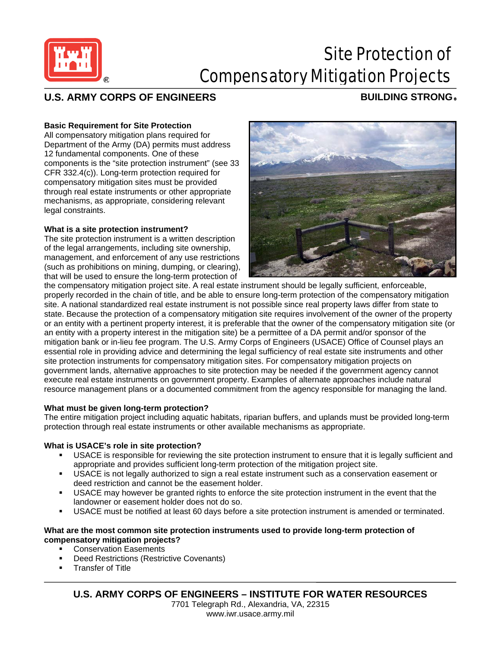

# Site Protection of Compensatory Mitigation Projects

# **U.S. ARMY CORPS OF ENGINEERS BUILDING STRONG** ®

### **Basic Requirement for Site Protection**

All compensatory mitigation plans required for Department of the Army (DA) permits must address 12 fundamental components. One of these components is the "site protection instrument" (see 33 CFR 332.4(c)). Long-term protection required for compensatory mitigation sites must be provided through real estate instruments or other appropriate mechanisms, as appropriate, considering relevant legal constraints.

#### **What is a site protection instrument?**

The site protection instrument is a written description of the legal arrangements, including site ownership, management, and enforcement of any use restrictions (such as prohibitions on mining, dumping, or clearing), that will be used to ensure the long-term protection of



the compensatory mitigation project site. A real estate instrument should be legally sufficient, enforceable, properly recorded in the chain of title, and be able to ensure long-term protection of the compensatory mitigation site. A national standardized real estate instrument is not possible since real property laws differ from state to state. Because the protection of a compensatory mitigation site requires involvement of the owner of the property or an entity with a pertinent property interest, it is preferable that the owner of the compensatory mitigation site (or an entity with a property interest in the mitigation site) be a permittee of a DA permit and/or sponsor of the mitigation bank or in-lieu fee program. The U.S. Army Corps of Engineers (USACE) Office of Counsel plays an essential role in providing advice and determining the legal sufficiency of real estate site instruments and other site protection instruments for compensatory mitigation sites. For compensatory mitigation projects on government lands, alternative approaches to site protection may be needed if the government agency cannot execute real estate instruments on government property. Examples of alternate approaches include natural resource management plans or a documented commitment from the agency responsible for managing the land.

#### **What must be given long-term protection?**

The entire mitigation project including aquatic habitats, riparian buffers, and uplands must be provided long-term protection through real estate instruments or other available mechanisms as appropriate.

#### **What is USACE's role in site protection?**

- USACE is responsible for reviewing the site protection instrument to ensure that it is legally sufficient and appropriate and provides sufficient long-term protection of the mitigation project site.
- USACE is not legally authorized to sign a real estate instrument such as a conservation easement or deed restriction and cannot be the easement holder.
- USACE may however be granted rights to enforce the site protection instrument in the event that the landowner or easement holder does not do so.
- USACE must be notified at least 60 days before a site protection instrument is amended or terminated.

# **What are the most common site protection instruments used to provide long-term protection of compensatory mitigation projects?**

- Conservation Easements
- Deed Restrictions (Restrictive Covenants)
- Transfer of Title